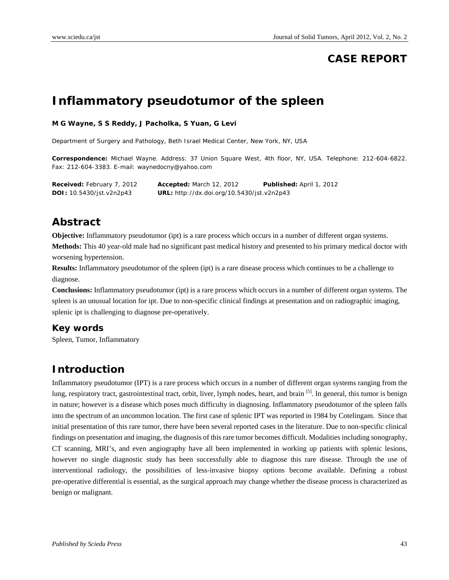# **CASE REPORT**

# **Inflammatory pseudotumor of the spleen**

#### **M G Wayne, S S Reddy, J Pacholka, S Yuan, G Levi**

Department of Surgery and Pathology, Beth Israel Medical Center, New York, NY, USA

**Correspondence:** Michael Wayne. Address: 37 Union Square West, 4th floor, NY, USA. Telephone: 212-604-6822. Fax: 212-604-3383. E-mail: waynedocny@yahoo.com

**Received:** February 7, 2012 **Accepted:** March 12, 2012 **Published:** April 1, 2012 **DOI:** 10.5430/jst.v2n2p43 **URL:** http://dx.doi.org/10.5430/jst.v2n2p43

### **Abstract**

**Objective:** Inflammatory pseudotumor (ipt) is a rare process which occurs in a number of different organ systems. **Methods:** This 40 year-old male had no significant past medical history and presented to his primary medical doctor with worsening hypertension.

**Results:** Inflammatory pseudotumor of the spleen (ipt) is a rare disease process which continues to be a challenge to diagnose.

**Conclusions:** Inflammatory pseudotumor (ipt) is a rare process which occurs in a number of different organ systems. The spleen is an unusual location for ipt. Due to non-specific clinical findings at presentation and on radiographic imaging, splenic ipt is challenging to diagnose pre-operatively.

#### **Key words**

Spleen, Tumor, Inflammatory

### **Introduction**

Inflammatory pseudotumor (IPT) is a rare process which occurs in a number of different organ systems ranging from the lung, respiratory tract, gastrointestinal tract, orbit, liver, lymph nodes, heart, and brain <sup>[5]</sup>. In general, this tumor is benign in nature; however is a disease which poses much difficulty in diagnosing. Inflammatory pseudotumor of the spleen falls into the spectrum of an uncommon location. The first case of splenic IPT was reported in 1984 by Cotelingam. Since that initial presentation of this rare tumor, there have been several reported cases in the literature. Due to non-specific clinical findings on presentation and imaging, the diagnosis of this rare tumor becomes difficult. Modalities including sonography, CT scanning, MRI's, and even angiography have all been implemented in working up patients with splenic lesions, however no single diagnostic study has been successfully able to diagnose this rare disease. Through the use of interventional radiology, the possibilities of less-invasive biopsy options become available. Defining a robust pre-operative differential is essential, as the surgical approach may change whether the disease process is characterized as benign or malignant.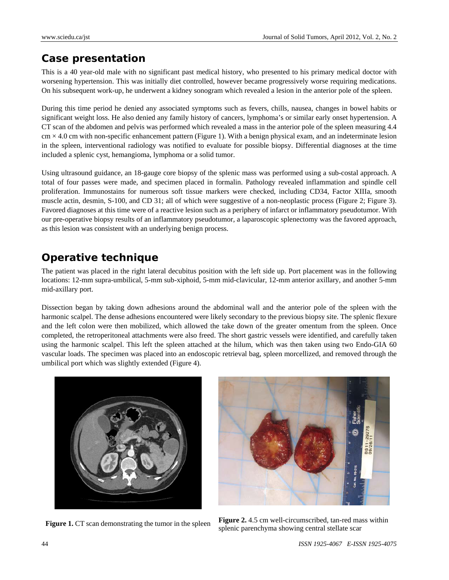### **Case presentation**

This is a 40 year-old male with no significant past medical history, who presented to his primary medical doctor with worsening hypertension. This was initially diet controlled, however became progressively worse requiring medications. On his subsequent work-up, he underwent a kidney sonogram which revealed a lesion in the anterior pole of the spleen.

During this time period he denied any associated symptoms such as fevers, chills, nausea, changes in bowel habits or significant weight loss. He also denied any family history of cancers, lymphoma's or similar early onset hypertension. A CT scan of the abdomen and pelvis was performed which revealed a mass in the anterior pole of the spleen measuring 4.4  $cm \times 4.0$  cm with non-specific enhancement pattern (Figure 1). With a benign physical exam, and an indeterminate lesion in the spleen, interventional radiology was notified to evaluate for possible biopsy. Differential diagnoses at the time included a splenic cyst, hemangioma, lymphoma or a solid tumor.

Using ultrasound guidance, an 18-gauge core biopsy of the splenic mass was performed using a sub-costal approach. A total of four passes were made, and specimen placed in formalin. Pathology revealed inflammation and spindle cell proliferation. Immunostains for numerous soft tissue markers were checked, including CD34, Factor XIIIa, smooth muscle actin, desmin, S-100, and CD 31; all of which were suggestive of a non-neoplastic process (Figure 2; Figure 3). Favored diagnoses at this time were of a reactive lesion such as a periphery of infarct or inflammatory pseudotumor. With our pre-operative biopsy results of an inflammatory pseudotumor, a laparoscopic splenectomy was the favored approach, as this lesion was consistent with an underlying benign process.

# **Operative technique**

The patient was placed in the right lateral decubitus position with the left side up. Port placement was in the following locations: 12-mm supra-umbilical, 5-mm sub-xiphoid, 5-mm mid-clavicular, 12-mm anterior axillary, and another 5-mm mid-axillary port.

Dissection began by taking down adhesions around the abdominal wall and the anterior pole of the spleen with the harmonic scalpel. The dense adhesions encountered were likely secondary to the previous biopsy site. The splenic flexure and the left colon were then mobilized, which allowed the take down of the greater omentum from the spleen. Once completed, the retroperitoneal attachments were also freed. The short gastric vessels were identified, and carefully taken using the harmonic scalpel. This left the spleen attached at the hilum, which was then taken using two Endo-GIA 60 vascular loads. The specimen was placed into an endoscopic retrieval bag, spleen morcellized, and removed through the umbilical port which was slightly extended (Figure 4).





**Figure 1.** CT scan demonstrating the tumor in the spleen **Figure 2.** 4.5 cm well-circumscribed, tan-red mass within splenic parenchyma showing central stellate scar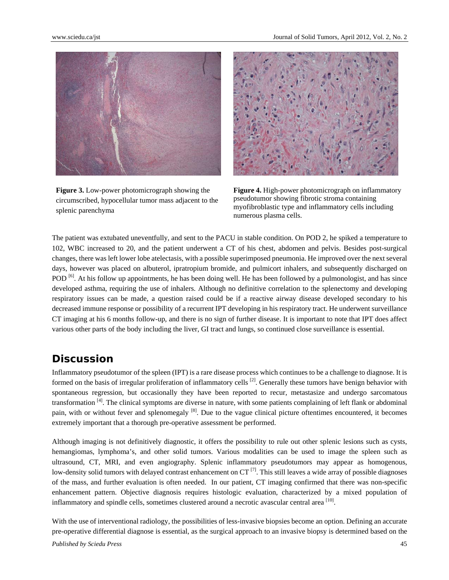

**Figure 3.** Low-power photomicrograph showing the circumscribed, hypocellular tumor mass adjacent to the splenic parenchyma



**Figure 4.** High-power photomicrograph on inflammatory pseudotumor showing fibrotic stroma containing myofibroblastic type and inflammatory cells including numerous plasma cells.

The patient was extubated uneventfully, and sent to the PACU in stable condition. On POD 2, he spiked a temperature to 102, WBC increased to 20, and the patient underwent a CT of his chest, abdomen and pelvis. Besides post-surgical changes, there was left lower lobe atelectasis, with a possible superimposed pneumonia. He improved over the next several days, however was placed on albuterol, ipratropium bromide, and pulmicort inhalers, and subsequently discharged on POD<sup>[6]</sup>. At his follow up appointments, he has been doing well. He has been followed by a pulmonologist, and has since developed asthma, requiring the use of inhalers. Although no definitive correlation to the splenectomy and developing respiratory issues can be made, a question raised could be if a reactive airway disease developed secondary to his decreased immune response or possibility of a recurrent IPT developing in his respiratory tract. He underwent surveillance CT imaging at his 6 months follow-up, and there is no sign of further disease. It is important to note that IPT does affect various other parts of the body including the liver, GI tract and lungs, so continued close surveillance is essential.

#### **Discussion**

Inflammatory pseudotumor of the spleen (IPT) is a rare disease process which continues to be a challenge to diagnose. It is formed on the basis of irregular proliferation of inflammatory cells  $[2]$ . Generally these tumors have benign behavior with spontaneous regression, but occasionally they have been reported to recur, metastasize and undergo sarcomatous transformation  $<sup>[4]</sup>$ . The clinical symptoms are diverse in nature, with some patients complaining of left flank or abdominal</sup> pain, with or without fever and splenomegaly <sup>[8]</sup>. Due to the vague clinical picture oftentimes encountered, it becomes extremely important that a thorough pre-operative assessment be performed.

Although imaging is not definitively diagnostic, it offers the possibility to rule out other splenic lesions such as cysts, hemangiomas, lymphoma's, and other solid tumors. Various modalities can be used to image the spleen such as ultrasound, CT, MRI, and even angiography. Splenic inflammatory pseudotumors may appear as homogenous, low-density solid tumors with delayed contrast enhancement on  $CT^{[7]}$ . This still leaves a wide array of possible diagnoses of the mass, and further evaluation is often needed. In our patient, CT imaging confirmed that there was non-specific enhancement pattern. Objective diagnosis requires histologic evaluation, characterized by a mixed population of inflammatory and spindle cells, sometimes clustered around a necrotic avascular central area  $^{[10]}$ .

*Published by Sciedu Press* 45 With the use of interventional radiology, the possibilities of less-invasive biopsies become an option. Defining an accurate pre-operative differential diagnose is essential, as the surgical approach to an invasive biopsy is determined based on the